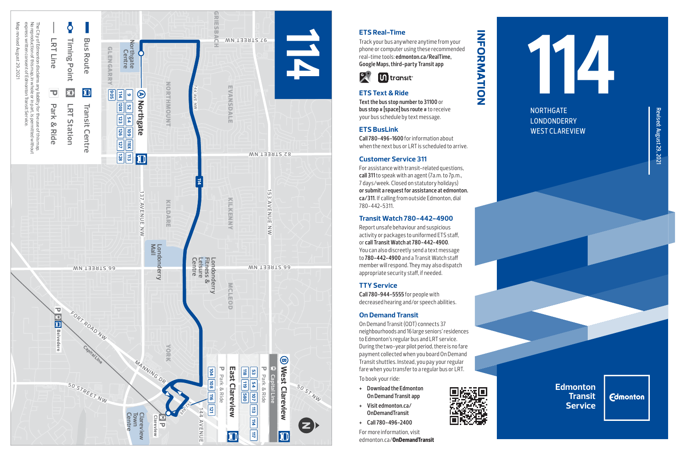

# **ETS Real-Time**

Track your bus anywhere anytime from your phone or computer using these recommended real-time tools: **edmonton.ca/RealTime, Google Maps, third-party Transit app**

**information**

INFORMATION



## **ETS Text & Ride**

**Text the bus stop number to 31100** or **bus stop # [space] bus route #** to receive your bus schedule by text message.

### **ETS BusLink**

**Call 780-496-1600** for information about when the next bus or LRT is scheduled to arrive.

#### **Customer Service 311**

For assistance with transit-related questions, **call 311** to speak with an agent (7a.m. to 7p.m., 7 days/week. Closed on statutory holidays) **or submit a request for assistance at edmonton. ca/311**. If calling from outside Edmonton, dial 780-442-5311.

### **Transit Watch 780-442-4900**

Report unsafe behaviour and suspicious activity or packages to uniformed ETS staff, or **call Transit Watch at 780-442-4900**. You can also discreetly send a text message to **780-442-4900** and a Transit Watch staff member will respond. They may also dispatch appropriate security staff, if needed.

### **TTY Service**

**Call 780-944-5555** for people with decreased hearing and/or speech abilities.

#### **On Demand Transit**

On Demand Transit (ODT) connects 37 neighbourhoods and 16 large seniors' residences to Edmonton's regular bus and LRT service. During the two-year pilot period, there is no fare payment collected when you board On Demand Transit shuttles. Instead, you pay your regular fare when you transfer to a regular bus or LRT. To book your ride:

- **+ Download the Edmonton On Demand Transit app**
- **+ Visit edmonton.ca/ OnDemandTransit**
- **+ Call 780-496-2400**

For more information, visit edmonton.ca/**OnDemandTransit**



NORTHGATE LONDONDERRY WEST CLAREVIEW

**Edmonton Transit Service**

**Edmonton**